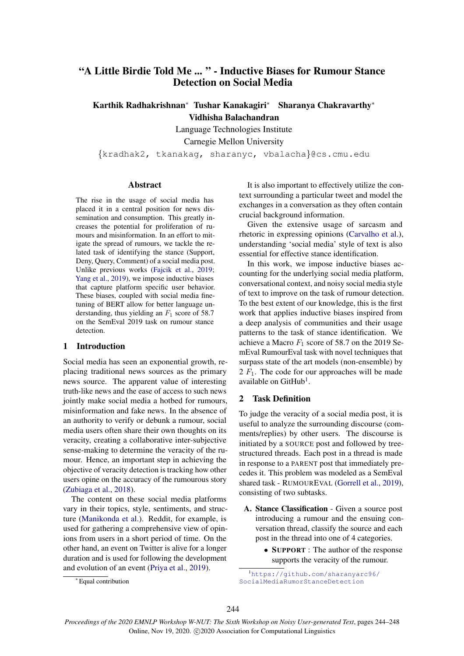# "A Little Birdie Told Me ... " - Inductive Biases for Rumour Stance Detection on Social Media

Karthik Radhakrishnan<sup>\*</sup> Tushar Kanakagiri<sup>\*</sup> Sharanya Chakravarthy<sup>\*</sup> Vidhisha Balachandran

Language Technologies Institute

Carnegie Mellon University

*{*kradhak2, tkanakag, sharanyc, vbalacha*}*@cs.cmu.edu

### Abstract

The rise in the usage of social media has placed it in a central position for news dissemination and consumption. This greatly increases the potential for proliferation of rumours and misinformation. In an effort to mitigate the spread of rumours, we tackle the related task of identifying the stance (Support, Deny, Query, Comment) of a social media post. Unlike previous works (Fajcik et al., 2019; Yang et al., 2019), we impose inductive biases that capture platform specific user behavior. These biases, coupled with social media finetuning of BERT allow for better language understanding, thus yielding an *F*<sup>1</sup> score of 58.7 on the SemEval 2019 task on rumour stance detection.

# 1 Introduction

Social media has seen an exponential growth, replacing traditional news sources as the primary news source. The apparent value of interesting truth-like news and the ease of access to such news jointly make social media a hotbed for rumours, misinformation and fake news. In the absence of an authority to verify or debunk a rumour, social media users often share their own thoughts on its veracity, creating a collaborative inter-subjective sense-making to determine the veracity of the rumour. Hence, an important step in achieving the objective of veracity detection is tracking how other users opine on the accuracy of the rumourous story (Zubiaga et al., 2018).

The content on these social media platforms vary in their topics, style, sentiments, and structure (Manikonda et al.). Reddit, for example, is used for gathering a comprehensive view of opinions from users in a short period of time. On the other hand, an event on Twitter is alive for a longer duration and is used for following the development and evolution of an event (Priya et al., 2019).

It is also important to effectively utilize the context surrounding a particular tweet and model the exchanges in a conversation as they often contain crucial background information.

Given the extensive usage of sarcasm and rhetoric in expressing opinions (Carvalho et al.), understanding 'social media' style of text is also essential for effective stance identification.

In this work, we impose inductive biases accounting for the underlying social media platform, conversational context, and noisy social media style of text to improve on the task of rumour detection. To the best extent of our knowledge, this is the first work that applies inductive biases inspired from a deep analysis of communities and their usage patterns to the task of stance identification. We achieve a Macro  $F_1$  score of 58.7 on the 2019 SemEval RumourEval task with novel techniques that surpass state of the art models (non-ensemble) by 2 *F*1. The code for our approaches will be made available on  $\text{GitHub}^1$ .

# 2 Task Definition

To judge the veracity of a social media post, it is useful to analyze the surrounding discourse (comments/replies) by other users. The discourse is initiated by a SOURCE post and followed by treestructured threads. Each post in a thread is made in response to a PARENT post that immediately precedes it. This problem was modeled as a SemEval shared task - RUMOUREVAL (Gorrell et al., 2019), consisting of two subtasks.

- A. Stance Classification Given a source post introducing a rumour and the ensuing conversation thread, classify the source and each post in the thread into one of 4 categories.
	- *•* SUPPORT : The author of the response supports the veracity of the rumour.

<sup>⇤</sup> Equal contribution

<sup>1</sup> https://github.com/sharanyarc96/ SocialMediaRumorStanceDetection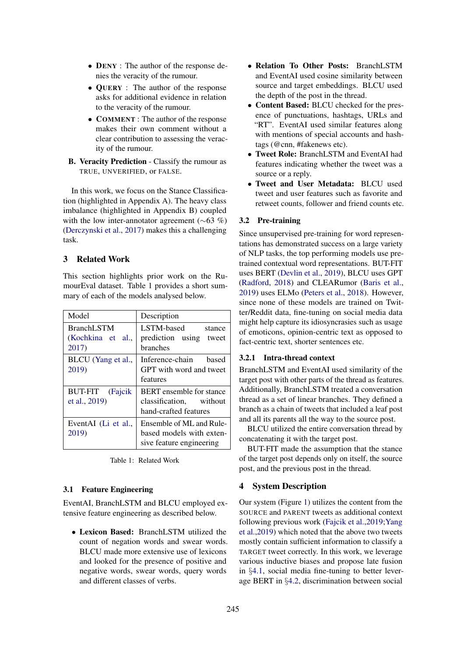- **DENY** : The author of the response denies the veracity of the rumour.
- **OUERY** : The author of the response asks for additional evidence in relation to the veracity of the rumour.
- *•* COMMENT : The author of the response makes their own comment without a clear contribution to assessing the veracity of the rumour.
- B. Veracity Prediction Classify the rumour as TRUE, UNVERIFIED, or FALSE.

In this work, we focus on the Stance Classification (highlighted in Appendix A). The heavy class imbalance (highlighted in Appendix B) coupled with the low inter-annotator agreement ( $\sim 63$  %) (Derczynski et al., 2017) makes this a challenging task.

# 3 Related Work

This section highlights prior work on the RumourEval dataset. Table 1 provides a short summary of each of the models analysed below.

| Model                            | Description                                                                         |
|----------------------------------|-------------------------------------------------------------------------------------|
| BranchLSTM<br>(Kochkina et al.,  | LSTM-based<br>stance<br>prediction using tweet                                      |
| 2017)                            | <b>branches</b>                                                                     |
| BLCU (Yang et al.,<br>2019)      | Inference-chain based<br>GPT with word and tweet<br>features                        |
| BUT-FIT (Fajcik<br>et al., 2019) | <b>BERT</b> ensemble for stance<br>classification, without<br>hand-crafted features |
| EventAI (Li et al.,<br>2019)     | Ensemble of ML and Rule-<br>based models with exten-<br>sive feature engineering    |

#### 3.1 Feature Engineering

EventAI, BranchLSTM and BLCU employed extensive feature engineering as described below.

*•* Lexicon Based: BranchLSTM utilized the count of negation words and swear words. BLCU made more extensive use of lexicons and looked for the presence of positive and negative words, swear words, query words and different classes of verbs.

- *•* Relation To Other Posts: BranchLSTM and EventAI used cosine similarity between source and target embeddings. BLCU used the depth of the post in the thread.
- *•* Content Based: BLCU checked for the presence of punctuations, hashtags, URLs and "RT". EventAI used similar features along with mentions of special accounts and hashtags (@cnn, #fakenews etc).
- *•* Tweet Role: BranchLSTM and EventAI had features indicating whether the tweet was a source or a reply.
- *•* Tweet and User Metadata: BLCU used tweet and user features such as favorite and retweet counts, follower and friend counts etc.

#### 3.2 Pre-training

Since unsupervised pre-training for word representations has demonstrated success on a large variety of NLP tasks, the top performing models use pretrained contextual word representations. BUT-FIT uses BERT (Devlin et al., 2019), BLCU uses GPT (Radford, 2018) and CLEARumor (Baris et al., 2019) uses ELMo (Peters et al., 2018). However, since none of these models are trained on Twitter/Reddit data, fine-tuning on social media data might help capture its idiosyncrasies such as usage of emoticons, opinion-centric text as opposed to fact-centric text, shorter sentences etc.

# 3.2.1 Intra-thread context

BranchLSTM and EventAI used similarity of the target post with other parts of the thread as features. Additionally, BranchLSTM treated a conversation thread as a set of linear branches. They defined a branch as a chain of tweets that included a leaf post and all its parents all the way to the source post.

BLCU utilized the entire conversation thread by concatenating it with the target post.

BUT-FIT made the assumption that the stance of the target post depends only on itself, the source post, and the previous post in the thread.

# 4 System Description

Our system (Figure 1) utilizes the content from the SOURCE and PARENT tweets as additional context following previous work (Fajcik et al.,2019;Yang et al.,2019) which noted that the above two tweets mostly contain sufficient information to classify a TARGET tweet correctly. In this work, we leverage various inductive biases and propose late fusion in *§*4.1, social media fine-tuning to better leverage BERT in *§*4.2, discrimination between social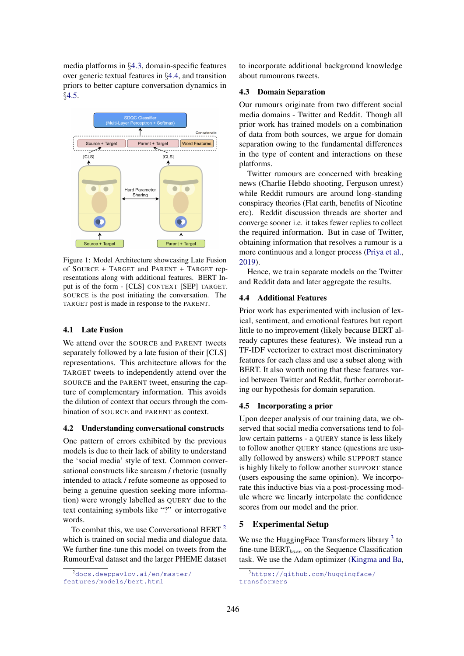media platforms in *§*4.3, domain-specific features over generic textual features in *§*4.4, and transition priors to better capture conversation dynamics in *§*4.5.



Figure 1: Model Architecture showcasing Late Fusion of SOURCE + TARGET and PARENT + TARGET representations along with additional features. BERT Input is of the form - [CLS] CONTEXT [SEP] TARGET. SOURCE is the post initiating the conversation. The TARGET post is made in response to the PARENT.

# 4.1 Late Fusion

We attend over the SOURCE and PARENT tweets separately followed by a late fusion of their [CLS] representations. This architecture allows for the TARGET tweets to independently attend over the SOURCE and the PARENT tweet, ensuring the capture of complementary information. This avoids the dilution of context that occurs through the combination of SOURCE and PARENT as context.

#### 4.2 Understanding conversational constructs

One pattern of errors exhibited by the previous models is due to their lack of ability to understand the 'social media' style of text. Common conversational constructs like sarcasm / rhetoric (usually intended to attack / refute someone as opposed to being a genuine question seeking more information) were wrongly labelled as QUERY due to the text containing symbols like "?" or interrogative words.

To combat this, we use Conversational BERT  $^2$ which is trained on social media and dialogue data. We further fine-tune this model on tweets from the RumourEval dataset and the larger PHEME dataset to incorporate additional background knowledge about rumourous tweets.

### 4.3 Domain Separation

Our rumours originate from two different social media domains - Twitter and Reddit. Though all prior work has trained models on a combination of data from both sources, we argue for domain separation owing to the fundamental differences in the type of content and interactions on these platforms.

Twitter rumours are concerned with breaking news (Charlie Hebdo shooting, Ferguson unrest) while Reddit rumours are around long-standing conspiracy theories (Flat earth, benefits of Nicotine etc). Reddit discussion threads are shorter and converge sooner i.e. it takes fewer replies to collect the required information. But in case of Twitter, obtaining information that resolves a rumour is a more continuous and a longer process (Priya et al., 2019).

Hence, we train separate models on the Twitter and Reddit data and later aggregate the results.

### 4.4 Additional Features

Prior work has experimented with inclusion of lexical, sentiment, and emotional features but report little to no improvement (likely because BERT already captures these features). We instead run a TF-IDF vectorizer to extract most discriminatory features for each class and use a subset along with BERT. It also worth noting that these features varied between Twitter and Reddit, further corroborating our hypothesis for domain separation.

#### 4.5 Incorporating a prior

Upon deeper analysis of our training data, we observed that social media conversations tend to follow certain patterns - a QUERY stance is less likely to follow another QUERY stance (questions are usually followed by answers) while SUPPORT stance is highly likely to follow another SUPPORT stance (users espousing the same opinion). We incorporate this inductive bias via a post-processing module where we linearly interpolate the confidence scores from our model and the prior.

# 5 Experimental Setup

We use the HuggingFace Transformers library  $3$  to fine-tune BERT*base* on the Sequence Classification task. We use the Adam optimizer (Kingma and Ba,

<sup>2</sup> docs.deeppavlov.ai/en/master/ features/models/bert.html

<sup>3</sup> https://github.com/huggingface/ transformers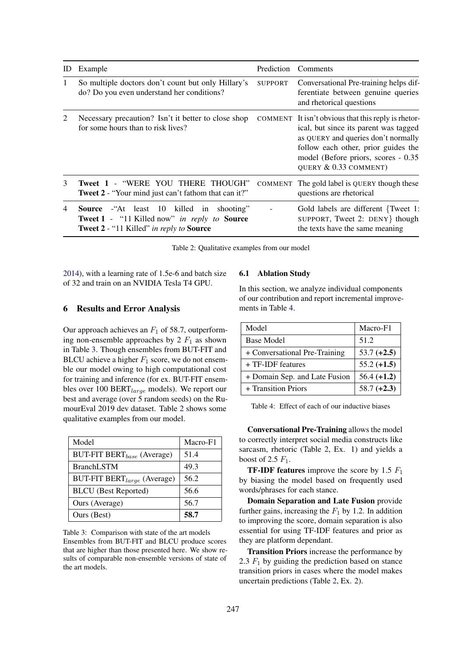| ID | Example                                                                                                                                                      | Prediction     | Comments                                                                                                                                                                                                                                    |
|----|--------------------------------------------------------------------------------------------------------------------------------------------------------------|----------------|---------------------------------------------------------------------------------------------------------------------------------------------------------------------------------------------------------------------------------------------|
| 1  | So multiple doctors don't count but only Hillary's<br>do? Do you even understand her conditions?                                                             | <b>SUPPORT</b> | Conversational Pre-training helps dif-<br>ferentiate between genuine queries<br>and rhetorical questions                                                                                                                                    |
| 2  | Necessary precaution? Isn't it better to close shop<br>for some hours than to risk lives?                                                                    |                | COMMENT It isn't obvious that this reply is rhetor-<br>ical, but since its parent was tagged<br>as QUERY and queries don't normally<br>follow each other, prior guides the<br>model (Before priors, scores - 0.35)<br>QUERY & 0.33 COMMENT) |
| 3  | Tweet 1 - "WERE YOU THERE THOUGH"<br><b>Tweet 2</b> - "Your mind just can't fathom that can it?"                                                             | COMMENT        | The gold label is QUERY though these<br>questions are rhetorical                                                                                                                                                                            |
| 4  | <b>Source</b> - At least 10 killed in<br>shooting"<br><b>Tweet 1</b> - "11 Killed now" in reply to <b>Source</b><br>Tweet 2 - "11 Killed" in reply to Source |                | Gold labels are different {Tweet 1:<br>SUPPORT, Tweet 2: DENY } though<br>the texts have the same meaning                                                                                                                                   |

Table 2: Qualitative examples from our model

2014), with a learning rate of 1.5e-6 and batch size of 32 and train on an NVIDIA Tesla T4 GPU.

# 6 Results and Error Analysis

Our approach achieves an  $F_1$  of 58.7, outperforming non-ensemble approaches by  $2 F_1$  as shown in Table 3. Though ensembles from BUT-FIT and BLCU achieve a higher  $F_1$  score, we do not ensemble our model owing to high computational cost for training and inference (for ex. BUT-FIT ensembles over 100 BERT*large* models). We report our best and average (over 5 random seeds) on the RumourEval 2019 dev dataset. Table 2 shows some qualitative examples from our model.

| Model                                         | Macro-F1 |
|-----------------------------------------------|----------|
| <b>BUT-FIT BERT</b> <sub>base</sub> (Average) | 51.4     |
| <b>BranchLSTM</b>                             | 49.3     |
| BUT-FIT BERT <sub>large</sub> (Average)       | 56.2     |
| <b>BLCU</b> (Best Reported)                   | 56.6     |
| Ours (Average)                                | 56.7     |
| Ours (Best)                                   | 58.7     |

Table 3: Comparison with state of the art models Ensembles from BUT-FIT and BLCU produce scores that are higher than those presented here. We show results of comparable non-ensemble versions of state of the art models.

### 6.1 Ablation Study

In this section, we analyze individual components of our contribution and report incremental improvements in Table 4.

| Model                         | Macro-F1      |
|-------------------------------|---------------|
| <b>Base Model</b>             | 51.2          |
| + Conversational Pre-Training | $53.7 (+2.5)$ |
| + TF-IDF features             | $55.2 (+1.5)$ |
| + Domain Sep. and Late Fusion | $56.4 (+1.2)$ |
| + Transition Priors           | $58.7 (+2.3)$ |

Table 4: Effect of each of our inductive biases

Conversational Pre-Training allows the model to correctly interpret social media constructs like sarcasm, rhetoric (Table 2, Ex. 1) and yields a boost of 2.5 *F*1.

TF-IDF features improve the score by 1.5 *F*<sup>1</sup> by biasing the model based on frequently used words/phrases for each stance.

Domain Separation and Late Fusion provide further gains, increasing the  $F_1$  by 1.2. In addition to improving the score, domain separation is also essential for using TF-IDF features and prior as they are platform dependant.

Transition Priors increase the performance by 2.3 *F*<sup>1</sup> by guiding the prediction based on stance transition priors in cases where the model makes uncertain predictions (Table 2, Ex. 2).